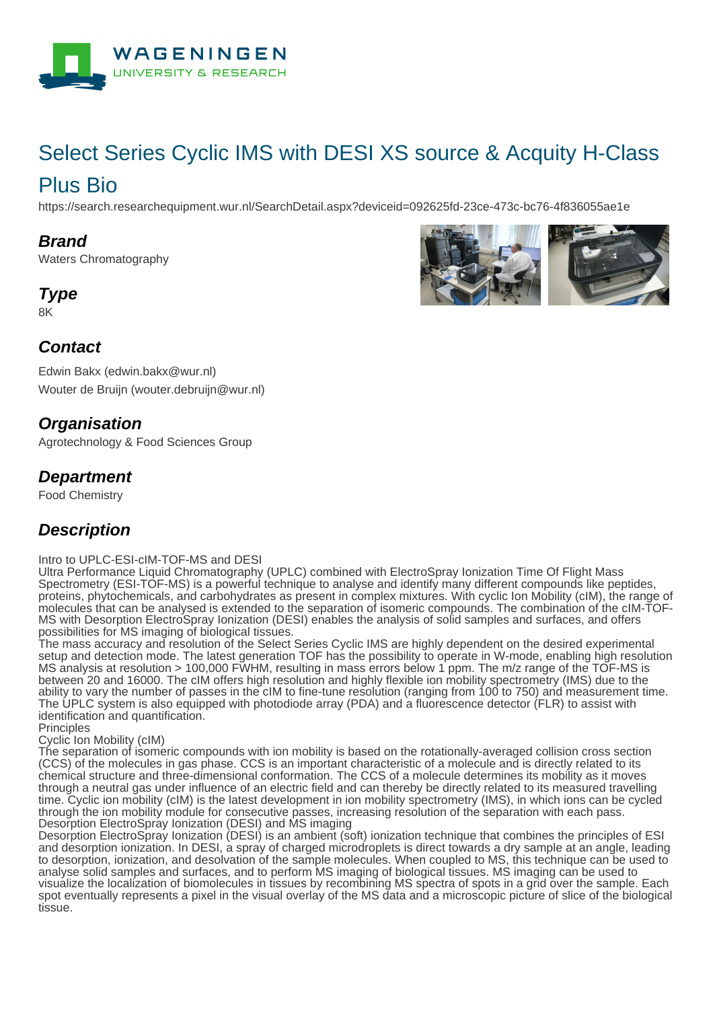

# Select Series Cyclic IMS with DESI XS source & Acquity H-Class Plus Bio

https://search.researchequipment.wur.nl/SearchDetail.aspx?deviceid=092625fd-23ce-473c-bc76-4f836055ae1e

#### **Brand**

Waters Chromatography

## **Type**

8K



Edwin Bakx (edwin.bakx@wur.nl) Wouter de Bruijn (wouter.debruijn@wur.nl)

### **Organisation**

Agrotechnology & Food Sciences Group

#### **Department**

Food Chemistry

### **Description**

Intro to UPLC-ESI-cIM-TOF-MS and DESI

Ultra Performance Liquid Chromatography (UPLC) combined with ElectroSpray Ionization Time Of Flight Mass Spectrometry (ESI-TOF-MS) is a powerful technique to analyse and identify many different compounds like peptides, proteins, phytochemicals, and carbohydrates as present in complex mixtures. With cyclic Ion Mobility (cIM), the range of molecules that can be analysed is extended to the separation of isomeric compounds. The combination of the cIM-TOF-MS with Desorption ElectroSpray Ionization (DESI) enables the analysis of solid samples and surfaces, and offers possibilities for MS imaging of biological tissues.

The mass accuracy and resolution of the Select Series Cyclic IMS are highly dependent on the desired experimental setup and detection mode. The latest generation TOF has the possibility to operate in W-mode, enabling high resolution MS analysis at resolution > 100,000 FWHM, resulting in mass errors below 1 ppm. The m/z range of the TOF-MS is between 20 and 16000. The cIM offers high resolution and highly flexible ion mobility spectrometry (IMS) due to the ability to vary the number of passes in the cIM to fine-tune resolution (ranging from 100 to 750) and measurement time. The UPLC system is also equipped with photodiode array (PDA) and a fluorescence detector (FLR) to assist with identification and quantification.

**Principles** 

Cyclic Ion Mobility (cIM)

The separation of isomeric compounds with ion mobility is based on the rotationally-averaged collision cross section (CCS) of the molecules in gas phase. CCS is an important characteristic of a molecule and is directly related to its chemical structure and three-dimensional conformation. The CCS of a molecule determines its mobility as it moves through a neutral gas under influence of an electric field and can thereby be directly related to its measured travelling time. Cyclic ion mobility (cIM) is the latest development in ion mobility spectrometry (IMS), in which ions can be cycled through the ion mobility module for consecutive passes, increasing resolution of the separation with each pass. Desorption ElectroSpray Ionization (DESI) and MS imaging

Desorption ElectroSpray Ionization (DESI) is an ambient (soft) ionization technique that combines the principles of ESI and desorption ionization. In DESI, a spray of charged microdroplets is direct towards a dry sample at an angle, leading to desorption, ionization, and desolvation of the sample molecules. When coupled to MS, this technique can be used to analyse solid samples and surfaces, and to perform MS imaging of biological tissues. MS imaging can be used to visualize the localization of biomolecules in tissues by recombining MS spectra of spots in a grid over the sample. Each spot eventually represents a pixel in the visual overlay of the MS data and a microscopic picture of slice of the biological tissue.